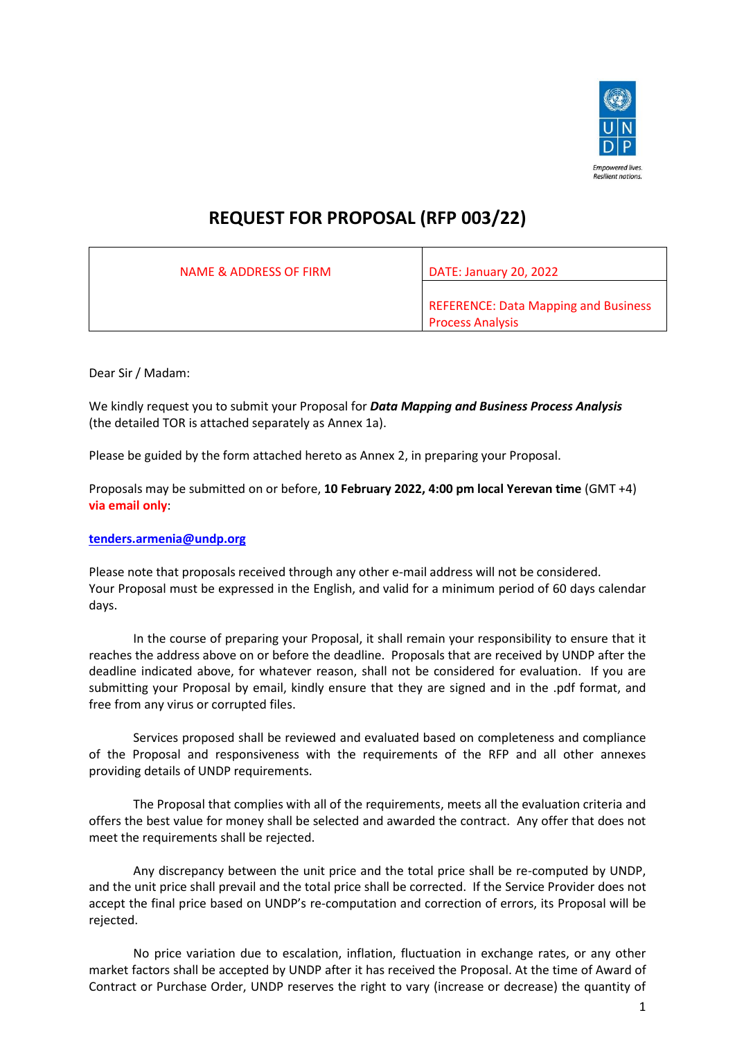

## **REQUEST FOR PROPOSAL (RFP 003/22)**

| NAME & ADDRESS OF FIRM | DATE: January 20, 2022                                                 |
|------------------------|------------------------------------------------------------------------|
|                        | <b>REFERENCE: Data Mapping and Business</b><br><b>Process Analysis</b> |

Dear Sir / Madam:

We kindly request you to submit your Proposal for *Data Mapping and Business Process Analysis*  (the detailed TOR is attached separately as Annex 1a).

Please be guided by the form attached hereto as Annex 2, in preparing your Proposal.

Proposals may be submitted on or before, **10 February 2022, 4:00 pm local Yerevan time** (GMT +4) **via email only**:

**[tenders.armenia@undp.org](mailto:tenders.armenia@undp.org)**

Please note that proposals received through any other e-mail address will not be considered. Your Proposal must be expressed in the English, and valid for a minimum period of 60 days calendar days.

In the course of preparing your Proposal, it shall remain your responsibility to ensure that it reaches the address above on or before the deadline. Proposals that are received by UNDP after the deadline indicated above, for whatever reason, shall not be considered for evaluation. If you are submitting your Proposal by email, kindly ensure that they are signed and in the .pdf format, and free from any virus or corrupted files.

Services proposed shall be reviewed and evaluated based on completeness and compliance of the Proposal and responsiveness with the requirements of the RFP and all other annexes providing details of UNDP requirements.

The Proposal that complies with all of the requirements, meets all the evaluation criteria and offers the best value for money shall be selected and awarded the contract. Any offer that does not meet the requirements shall be rejected.

Any discrepancy between the unit price and the total price shall be re-computed by UNDP, and the unit price shall prevail and the total price shall be corrected. If the Service Provider does not accept the final price based on UNDP's re-computation and correction of errors, its Proposal will be rejected.

No price variation due to escalation, inflation, fluctuation in exchange rates, or any other market factors shall be accepted by UNDP after it has received the Proposal. At the time of Award of Contract or Purchase Order, UNDP reserves the right to vary (increase or decrease) the quantity of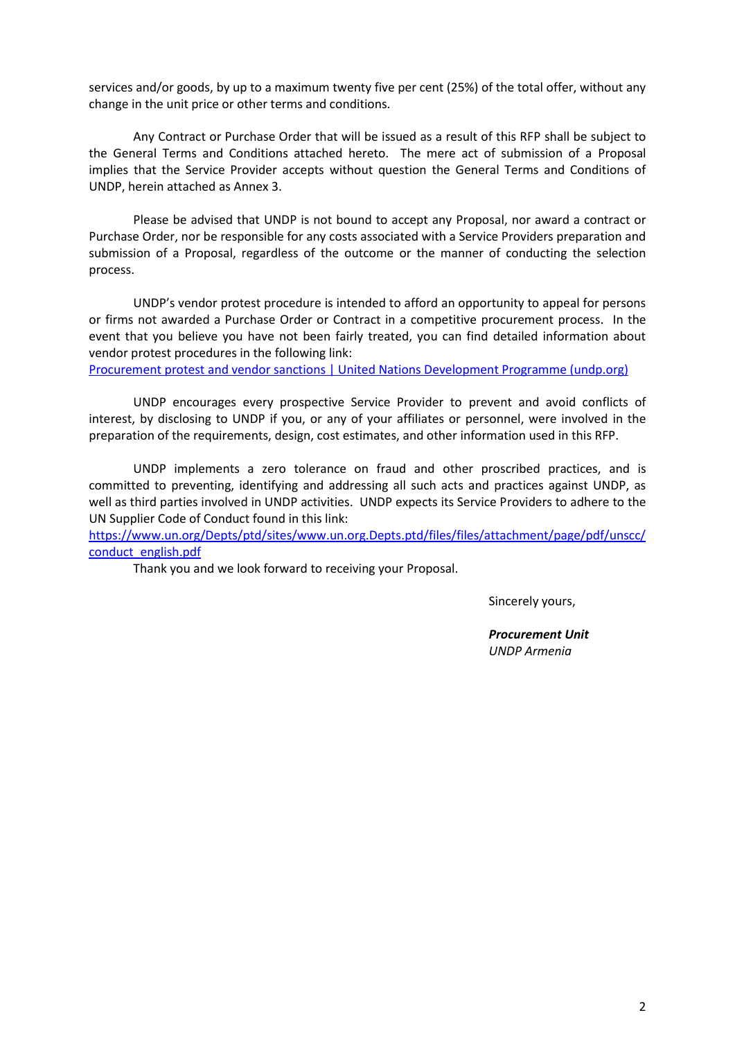services and/or goods, by up to a maximum twenty five per cent (25%) of the total offer, without any change in the unit price or other terms and conditions.

Any Contract or Purchase Order that will be issued as a result of this RFP shall be subject to the General Terms and Conditions attached hereto. The mere act of submission of a Proposal implies that the Service Provider accepts without question the General Terms and Conditions of UNDP, herein attached as Annex 3.

Please be advised that UNDP is not bound to accept any Proposal, nor award a contract or Purchase Order, nor be responsible for any costs associated with a Service Providers preparation and submission of a Proposal, regardless of the outcome or the manner of conducting the selection process.

UNDP's vendor protest procedure is intended to afford an opportunity to appeal for persons or firms not awarded a Purchase Order or Contract in a competitive procurement process. In the event that you believe you have not been fairly treated, you can find detailed information about vendor protest procedures in the following link:

[Procurement protest and vendor sanctions | United Nations Development Programme \(undp.org\)](https://www.undp.org/procurement/business/protest-and-sanctions)

UNDP encourages every prospective Service Provider to prevent and avoid conflicts of interest, by disclosing to UNDP if you, or any of your affiliates or personnel, were involved in the preparation of the requirements, design, cost estimates, and other information used in this RFP.

UNDP implements a zero tolerance on fraud and other proscribed practices, and is committed to preventing, identifying and addressing all such acts and practices against UNDP, as well as third parties involved in UNDP activities. UNDP expects its Service Providers to adhere to the UN Supplier Code of Conduct found in this link:

[https://www.un.org/Depts/ptd/sites/www.un.org.Depts.ptd/files/files/attachment/page/pdf/unscc/](https://www.un.org/Depts/ptd/sites/www.un.org.Depts.ptd/files/files/attachment/page/pdf/unscc/conduct_english.pdf) [conduct\\_english.pdf](https://www.un.org/Depts/ptd/sites/www.un.org.Depts.ptd/files/files/attachment/page/pdf/unscc/conduct_english.pdf)

Thank you and we look forward to receiving your Proposal.

Sincerely yours,

*Procurement Unit UNDP Armenia*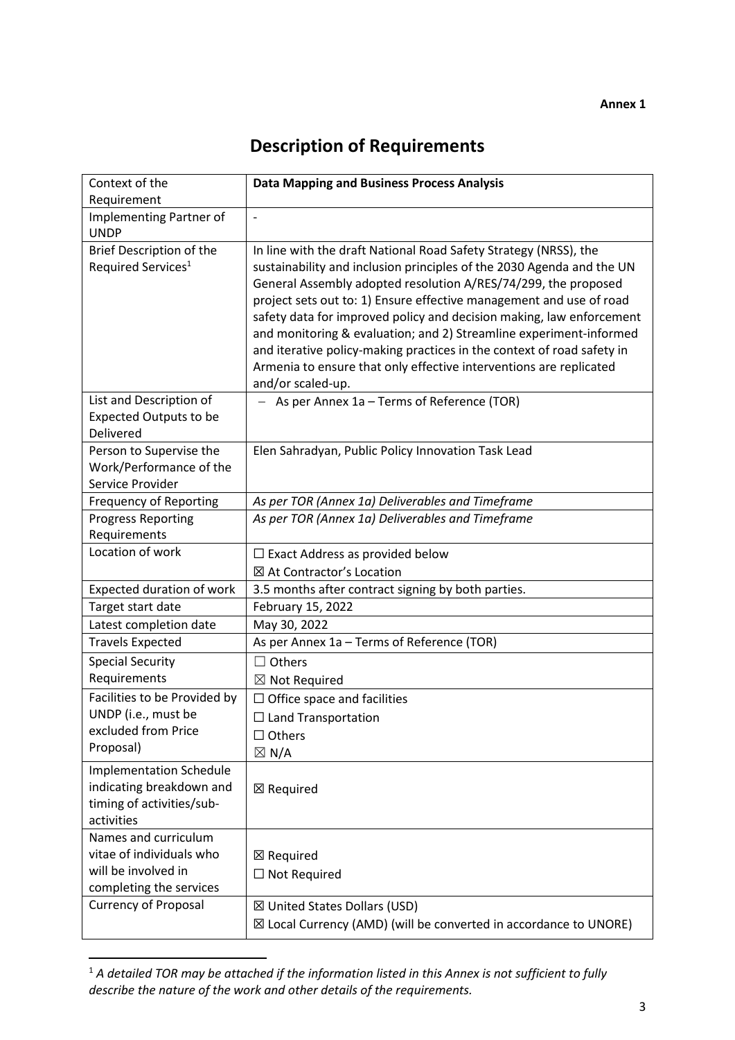# **Description of Requirements**

| Context of the                                                                                        | <b>Data Mapping and Business Process Analysis</b>                                                                                                                                                                                                                                                                                                                                                                                                                                                                                                                                                     |
|-------------------------------------------------------------------------------------------------------|-------------------------------------------------------------------------------------------------------------------------------------------------------------------------------------------------------------------------------------------------------------------------------------------------------------------------------------------------------------------------------------------------------------------------------------------------------------------------------------------------------------------------------------------------------------------------------------------------------|
| Requirement                                                                                           |                                                                                                                                                                                                                                                                                                                                                                                                                                                                                                                                                                                                       |
| Implementing Partner of<br><b>UNDP</b>                                                                | $\overline{\phantom{m}}$                                                                                                                                                                                                                                                                                                                                                                                                                                                                                                                                                                              |
| Brief Description of the<br>Required Services <sup>1</sup>                                            | In line with the draft National Road Safety Strategy (NRSS), the<br>sustainability and inclusion principles of the 2030 Agenda and the UN<br>General Assembly adopted resolution A/RES/74/299, the proposed<br>project sets out to: 1) Ensure effective management and use of road<br>safety data for improved policy and decision making, law enforcement<br>and monitoring & evaluation; and 2) Streamline experiment-informed<br>and iterative policy-making practices in the context of road safety in<br>Armenia to ensure that only effective interventions are replicated<br>and/or scaled-up. |
| List and Description of<br><b>Expected Outputs to be</b><br>Delivered                                 | As per Annex 1a - Terms of Reference (TOR)                                                                                                                                                                                                                                                                                                                                                                                                                                                                                                                                                            |
| Person to Supervise the<br>Work/Performance of the<br>Service Provider                                | Elen Sahradyan, Public Policy Innovation Task Lead                                                                                                                                                                                                                                                                                                                                                                                                                                                                                                                                                    |
| <b>Frequency of Reporting</b>                                                                         | As per TOR (Annex 1a) Deliverables and Timeframe                                                                                                                                                                                                                                                                                                                                                                                                                                                                                                                                                      |
| <b>Progress Reporting</b>                                                                             | As per TOR (Annex 1a) Deliverables and Timeframe                                                                                                                                                                                                                                                                                                                                                                                                                                                                                                                                                      |
| Requirements                                                                                          |                                                                                                                                                                                                                                                                                                                                                                                                                                                                                                                                                                                                       |
| Location of work                                                                                      | $\Box$ Exact Address as provided below                                                                                                                                                                                                                                                                                                                                                                                                                                                                                                                                                                |
|                                                                                                       | ⊠ At Contractor's Location                                                                                                                                                                                                                                                                                                                                                                                                                                                                                                                                                                            |
| Expected duration of work                                                                             | 3.5 months after contract signing by both parties.                                                                                                                                                                                                                                                                                                                                                                                                                                                                                                                                                    |
| Target start date                                                                                     | February 15, 2022                                                                                                                                                                                                                                                                                                                                                                                                                                                                                                                                                                                     |
| Latest completion date                                                                                | May 30, 2022                                                                                                                                                                                                                                                                                                                                                                                                                                                                                                                                                                                          |
| <b>Travels Expected</b>                                                                               | As per Annex 1a - Terms of Reference (TOR)                                                                                                                                                                                                                                                                                                                                                                                                                                                                                                                                                            |
| <b>Special Security</b>                                                                               | Others<br>$\blacksquare$                                                                                                                                                                                                                                                                                                                                                                                                                                                                                                                                                                              |
| Requirements                                                                                          | ⊠ Not Required                                                                                                                                                                                                                                                                                                                                                                                                                                                                                                                                                                                        |
| Facilities to be Provided by                                                                          | $\Box$ Office space and facilities                                                                                                                                                                                                                                                                                                                                                                                                                                                                                                                                                                    |
| UNDP (i.e., must be                                                                                   | $\Box$ Land Transportation                                                                                                                                                                                                                                                                                                                                                                                                                                                                                                                                                                            |
| excluded from Price                                                                                   | $\Box$ Others                                                                                                                                                                                                                                                                                                                                                                                                                                                                                                                                                                                         |
| Proposal)                                                                                             | $\boxtimes$ N/A                                                                                                                                                                                                                                                                                                                                                                                                                                                                                                                                                                                       |
| <b>Implementation Schedule</b><br>indicating breakdown and<br>timing of activities/sub-<br>activities | $\boxtimes$ Required                                                                                                                                                                                                                                                                                                                                                                                                                                                                                                                                                                                  |
| Names and curriculum                                                                                  |                                                                                                                                                                                                                                                                                                                                                                                                                                                                                                                                                                                                       |
| vitae of individuals who                                                                              | ⊠ Required                                                                                                                                                                                                                                                                                                                                                                                                                                                                                                                                                                                            |
| will be involved in                                                                                   | $\Box$ Not Required                                                                                                                                                                                                                                                                                                                                                                                                                                                                                                                                                                                   |
| completing the services                                                                               |                                                                                                                                                                                                                                                                                                                                                                                                                                                                                                                                                                                                       |
| <b>Currency of Proposal</b>                                                                           | ⊠ United States Dollars (USD)                                                                                                                                                                                                                                                                                                                                                                                                                                                                                                                                                                         |
|                                                                                                       | $\boxtimes$ Local Currency (AMD) (will be converted in accordance to UNORE)                                                                                                                                                                                                                                                                                                                                                                                                                                                                                                                           |

<sup>1</sup> *A detailed TOR may be attached if the information listed in this Annex is not sufficient to fully describe the nature of the work and other details of the requirements.*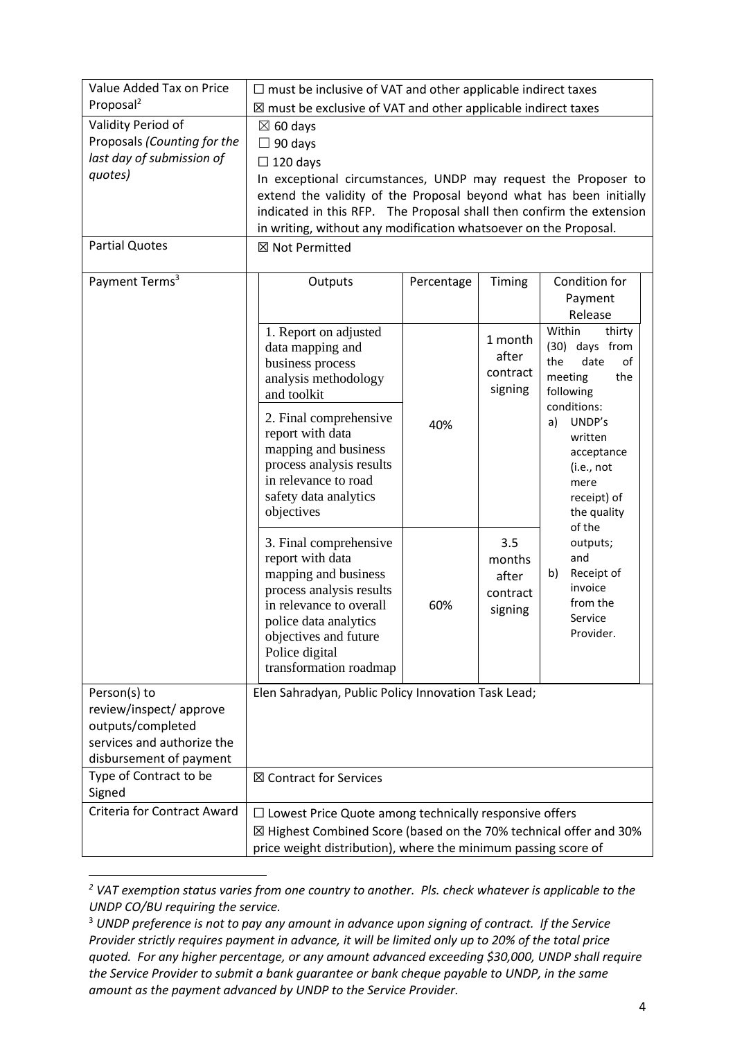| Value Added Tax on Price                                                                                              | $\Box$ must be inclusive of VAT and other applicable indirect taxes                                                                                                                                                                                                                                                                          |            |                                                            |                                                                                                                     |
|-----------------------------------------------------------------------------------------------------------------------|----------------------------------------------------------------------------------------------------------------------------------------------------------------------------------------------------------------------------------------------------------------------------------------------------------------------------------------------|------------|------------------------------------------------------------|---------------------------------------------------------------------------------------------------------------------|
| Proposal <sup>2</sup>                                                                                                 | $\boxtimes$ must be exclusive of VAT and other applicable indirect taxes                                                                                                                                                                                                                                                                     |            |                                                            |                                                                                                                     |
| Validity Period of<br>Proposals (Counting for the<br>last day of submission of<br>quotes)                             | $\boxtimes$ 60 days<br>$\Box$ 90 days<br>$\Box$ 120 days<br>In exceptional circumstances, UNDP may request the Proposer to<br>extend the validity of the Proposal beyond what has been initially<br>indicated in this RFP. The Proposal shall then confirm the extension<br>in writing, without any modification whatsoever on the Proposal. |            |                                                            |                                                                                                                     |
| <b>Partial Quotes</b>                                                                                                 | ⊠ Not Permitted                                                                                                                                                                                                                                                                                                                              |            |                                                            |                                                                                                                     |
| Payment Terms <sup>3</sup>                                                                                            | Outputs                                                                                                                                                                                                                                                                                                                                      | Percentage | Timing                                                     | Condition for<br>Payment<br>Release                                                                                 |
|                                                                                                                       | 1. Report on adjusted<br>data mapping and<br>business process<br>analysis methodology<br>and toolkit                                                                                                                                                                                                                                         |            | 1 month<br>after<br>contract<br>signing                    | Within<br>thirty<br>(30) days from<br>the<br>date<br>of<br>meeting<br>the<br>following                              |
|                                                                                                                       | 2. Final comprehensive<br>report with data<br>mapping and business<br>process analysis results<br>in relevance to road<br>safety data analytics<br>objectives                                                                                                                                                                                | 40%        |                                                            | conditions:<br>UNDP's<br>a)<br>written<br>acceptance<br>(i.e., not)<br>mere<br>receipt) of<br>the quality<br>of the |
|                                                                                                                       | 3. Final comprehensive<br>report with data<br>mapping and business<br>process analysis results<br>in relevance to overall<br>police data analytics<br>objectives and future<br>Police digital<br>transformation roadmap                                                                                                                      | 60%        | 3.5<br>and<br>months<br>b)<br>after<br>contract<br>signing | outputs;<br>Receipt of<br>invoice<br>from the<br>Service<br>Provider.                                               |
| Person(s) to<br>review/inspect/ approve<br>outputs/completed<br>services and authorize the<br>disbursement of payment | Elen Sahradyan, Public Policy Innovation Task Lead;                                                                                                                                                                                                                                                                                          |            |                                                            |                                                                                                                     |
| Type of Contract to be<br>Signed                                                                                      | ⊠ Contract for Services                                                                                                                                                                                                                                                                                                                      |            |                                                            |                                                                                                                     |
| Criteria for Contract Award                                                                                           | $\Box$ Lowest Price Quote among technically responsive offers<br>⊠ Highest Combined Score (based on the 70% technical offer and 30%<br>price weight distribution), where the minimum passing score of                                                                                                                                        |            |                                                            |                                                                                                                     |

*<sup>2</sup> VAT exemption status varies from one country to another. Pls. check whatever is applicable to the UNDP CO/BU requiring the service.*

<sup>3</sup> *UNDP preference is not to pay any amount in advance upon signing of contract. If the Service Provider strictly requires payment in advance, it will be limited only up to 20% of the total price quoted. For any higher percentage, or any amount advanced exceeding \$30,000, UNDP shall require the Service Provider to submit a bank guarantee or bank cheque payable to UNDP, in the same amount as the payment advanced by UNDP to the Service Provider.*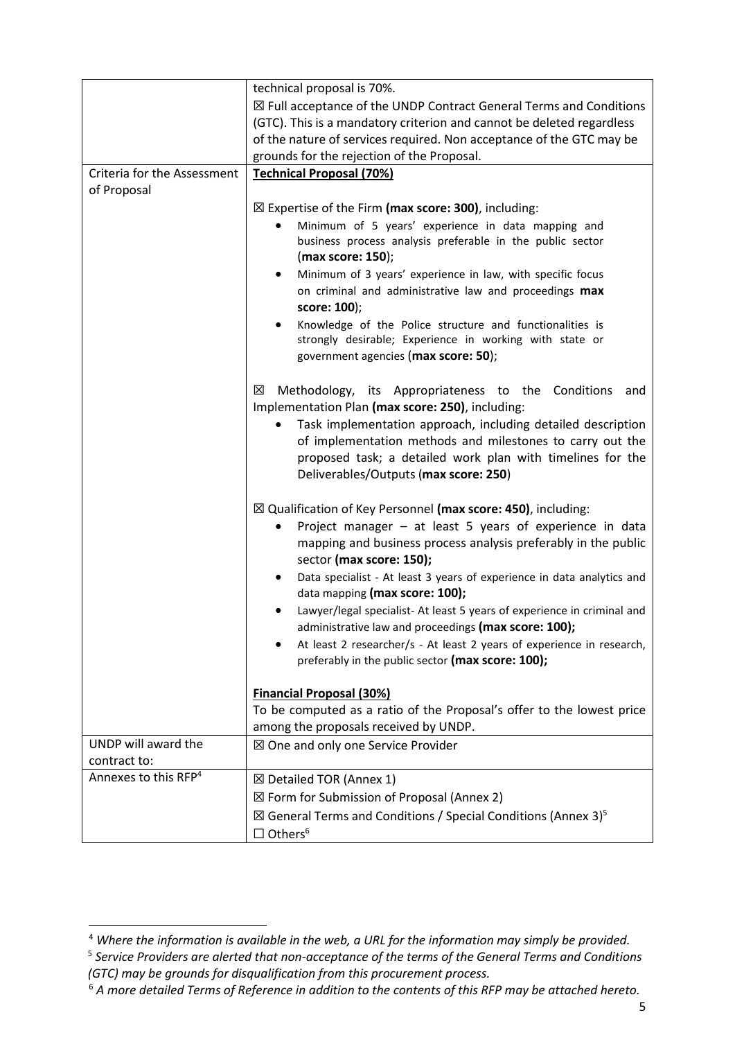|                                  | technical proposal is 70%.                                                                                                                                                                                                       |
|----------------------------------|----------------------------------------------------------------------------------------------------------------------------------------------------------------------------------------------------------------------------------|
|                                  | $\boxtimes$ Full acceptance of the UNDP Contract General Terms and Conditions                                                                                                                                                    |
|                                  | (GTC). This is a mandatory criterion and cannot be deleted regardless                                                                                                                                                            |
|                                  | of the nature of services required. Non acceptance of the GTC may be                                                                                                                                                             |
|                                  | grounds for the rejection of the Proposal.                                                                                                                                                                                       |
| Criteria for the Assessment      | <b>Technical Proposal (70%)</b>                                                                                                                                                                                                  |
| of Proposal                      |                                                                                                                                                                                                                                  |
|                                  | $\boxtimes$ Expertise of the Firm (max score: 300), including:                                                                                                                                                                   |
|                                  | Minimum of 5 years' experience in data mapping and<br>business process analysis preferable in the public sector<br>(max score: 150);                                                                                             |
|                                  | Minimum of 3 years' experience in law, with specific focus<br>on criminal and administrative law and proceedings max<br>score: 100);                                                                                             |
|                                  | Knowledge of the Police structure and functionalities is<br>strongly desirable; Experience in working with state or<br>government agencies (max score: 50);                                                                      |
|                                  | ⊠<br>Methodology, its Appropriateness to the Conditions<br>and<br>Implementation Plan (max score: 250), including:                                                                                                               |
|                                  | Task implementation approach, including detailed description<br>of implementation methods and milestones to carry out the<br>proposed task; a detailed work plan with timelines for the<br>Deliverables/Outputs (max score: 250) |
|                                  | $\boxtimes$ Qualification of Key Personnel (max score: 450), including:                                                                                                                                                          |
|                                  | Project manager - at least 5 years of experience in data<br>mapping and business process analysis preferably in the public<br>sector (max score: 150);                                                                           |
|                                  | Data specialist - At least 3 years of experience in data analytics and<br>data mapping (max score: 100);                                                                                                                         |
|                                  | Lawyer/legal specialist- At least 5 years of experience in criminal and<br>administrative law and proceedings (max score: 100);                                                                                                  |
|                                  | At least 2 researcher/s - At least 2 years of experience in research,<br>preferably in the public sector (max score: 100);                                                                                                       |
|                                  | <b>Financial Proposal (30%)</b>                                                                                                                                                                                                  |
|                                  | To be computed as a ratio of the Proposal's offer to the lowest price                                                                                                                                                            |
|                                  | among the proposals received by UNDP.                                                                                                                                                                                            |
| UNDP will award the              | ⊠ One and only one Service Provider                                                                                                                                                                                              |
| contract to:                     |                                                                                                                                                                                                                                  |
| Annexes to this RFP <sup>4</sup> | ⊠ Detailed TOR (Annex 1)                                                                                                                                                                                                         |
|                                  | $\boxtimes$ Form for Submission of Proposal (Annex 2)                                                                                                                                                                            |
|                                  | $\boxtimes$ General Terms and Conditions / Special Conditions (Annex 3) <sup>5</sup><br>$\Box$ Others <sup>6</sup>                                                                                                               |

<sup>4</sup> *Where the information is available in the web, a URL for the information may simply be provided.*

<sup>&</sup>lt;sup>5</sup> Service Providers are alerted that non-acceptance of the terms of the General Terms and Conditions *(GTC) may be grounds for disqualification from this procurement process.* 

<sup>6</sup> *A more detailed Terms of Reference in addition to the contents of this RFP may be attached hereto.*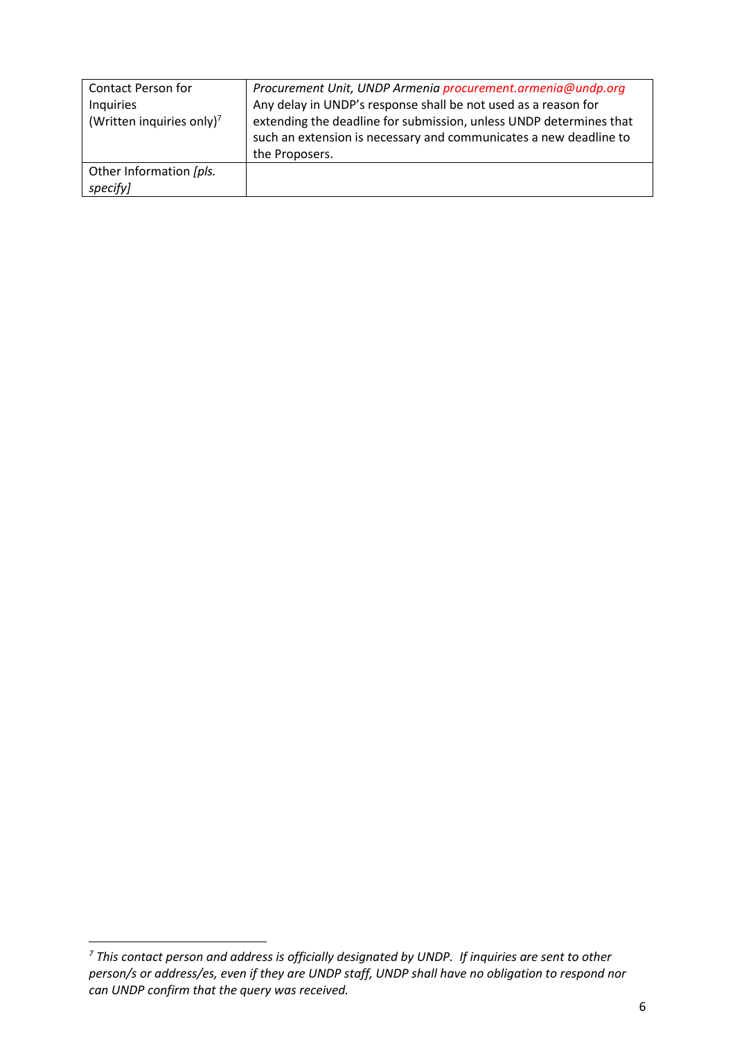| <b>Contact Person for</b>             | Procurement Unit, UNDP Armenia procurement.armenia@undp.org                                                                                               |
|---------------------------------------|-----------------------------------------------------------------------------------------------------------------------------------------------------------|
| Inquiries                             | Any delay in UNDP's response shall be not used as a reason for                                                                                            |
| (Written inquiries only) <sup>7</sup> | extending the deadline for submission, unless UNDP determines that<br>such an extension is necessary and communicates a new deadline to<br>the Proposers. |
| Other Information [pls.<br>specify]   |                                                                                                                                                           |

*<sup>7</sup> This contact person and address is officially designated by UNDP. If inquiries are sent to other person/s or address/es, even if they are UNDP staff, UNDP shall have no obligation to respond nor can UNDP confirm that the query was received.*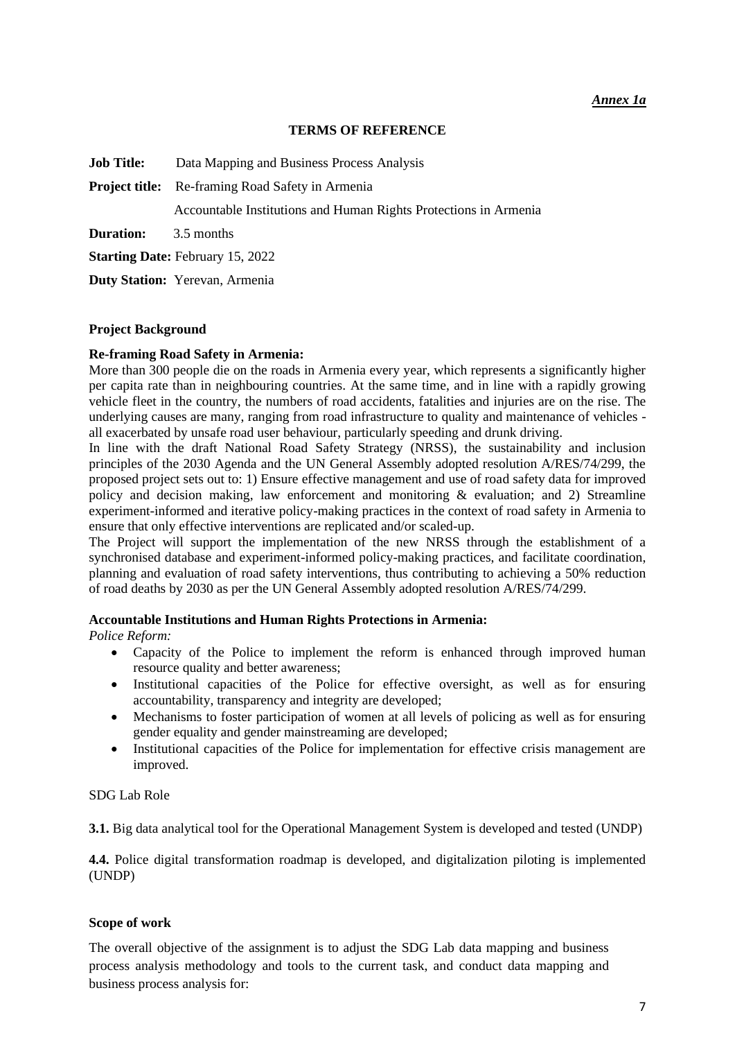#### *Annex 1a*

#### **TERMS OF REFERENCE**

**Job Title:** Data Mapping and Business Process Analysis

**Project title:** Re-framing Road Safety in Armenia

Accountable Institutions and Human Rights Protections in Armenia

**Duration:** 3.5 months

**Starting Date: February 15, 2022** 

**Duty Station:** Yerevan, Armenia

#### **Project Background**

#### **Re-framing Road Safety in Armenia:**

More than 300 people die on the roads in Armenia every year, which represents a significantly higher per capita rate than in neighbouring countries. At the same time, and in line with a rapidly growing vehicle fleet in the country, the numbers of road accidents, fatalities and injuries are on the rise. The underlying causes are many, ranging from road infrastructure to quality and maintenance of vehicles all exacerbated by unsafe road user behaviour, particularly speeding and drunk driving.

In line with the draft National Road Safety Strategy (NRSS), the sustainability and inclusion principles of the 2030 Agenda and the UN General Assembly adopted resolution A/RES/74/299, the proposed project sets out to: 1) Ensure effective management and use of road safety data for improved policy and decision making, law enforcement and monitoring & evaluation; and 2) Streamline experiment-informed and iterative policy-making practices in the context of road safety in Armenia to ensure that only effective interventions are replicated and/or scaled-up.

The Project will support the implementation of the new NRSS through the establishment of a synchronised database and experiment-informed policy-making practices, and facilitate coordination, planning and evaluation of road safety interventions, thus contributing to achieving a 50% reduction of road deaths by 2030 as per the UN General Assembly adopted resolution A/RES/74/299.

#### **Accountable Institutions and Human Rights Protections in Armenia:**

*Police Reform:* 

- Capacity of the Police to implement the reform is enhanced through improved human resource quality and better awareness;
- Institutional capacities of the Police for effective oversight, as well as for ensuring accountability, transparency and integrity are developed;
- Mechanisms to foster participation of women at all levels of policing as well as for ensuring gender equality and gender mainstreaming are developed;
- Institutional capacities of the Police for implementation for effective crisis management are improved.

#### SDG Lab Role

**3.1.** Big data analytical tool for the Operational Management System is developed and tested (UNDP)

**4.4.** Police digital transformation roadmap is developed, and digitalization piloting is implemented (UNDP)

#### **Scope of work**

The overall objective of the assignment is to adjust the SDG Lab data mapping and business process analysis methodology and tools to the current task, and conduct data mapping and business process analysis for: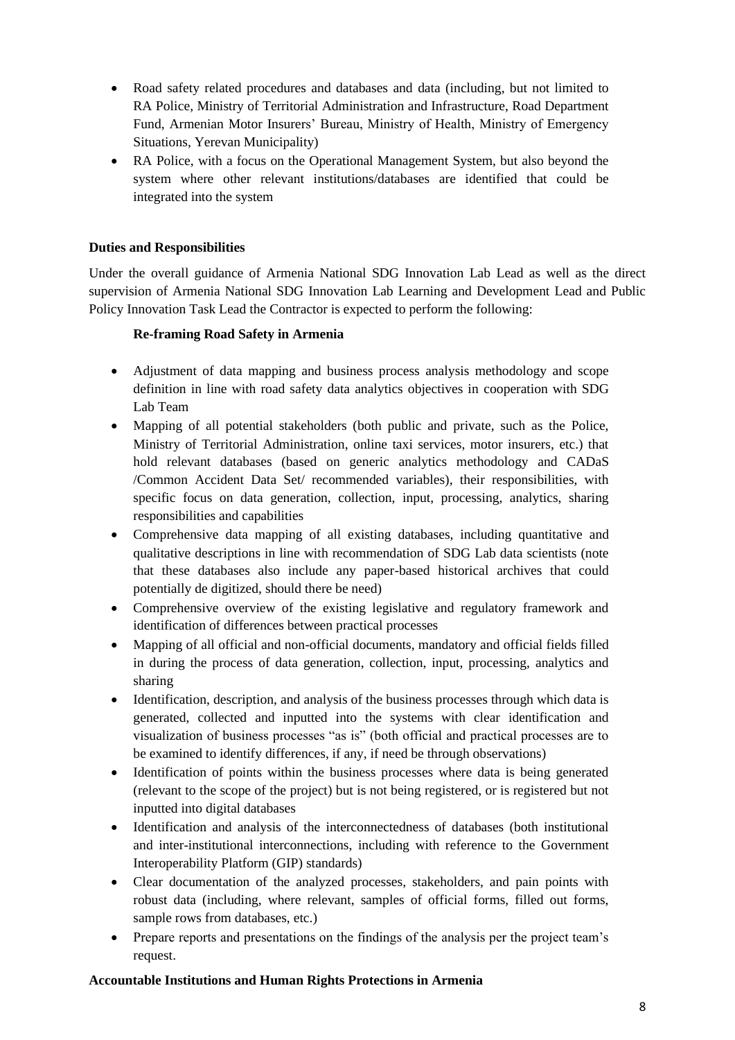- Road safety related procedures and databases and data (including, but not limited to RA Police, Ministry of Territorial Administration and Infrastructure, Road Department Fund, Armenian Motor Insurers' Bureau, Ministry of Health, Ministry of Emergency Situations, Yerevan Municipality)
- RA Police, with a focus on the Operational Management System, but also beyond the system where other relevant institutions/databases are identified that could be integrated into the system

#### **Duties and Responsibilities**

Under the overall guidance of Armenia National SDG Innovation Lab Lead as well as the direct supervision of Armenia National SDG Innovation Lab Learning and Development Lead and Public Policy Innovation Task Lead the Contractor is expected to perform the following:

#### **Re-framing Road Safety in Armenia**

- Adjustment of data mapping and business process analysis methodology and scope definition in line with road safety data analytics objectives in cooperation with SDG Lab Team
- Mapping of all potential stakeholders (both public and private, such as the Police, Ministry of Territorial Administration, online taxi services, motor insurers, etc.) that hold relevant databases (based on generic analytics methodology and CADaS /Common Accident Data Set/ recommended variables), their responsibilities, with specific focus on data generation, collection, input, processing, analytics, sharing responsibilities and capabilities
- Comprehensive data mapping of all existing databases, including quantitative and qualitative descriptions in line with recommendation of SDG Lab data scientists (note that these databases also include any paper-based historical archives that could potentially de digitized, should there be need)
- Comprehensive overview of the existing legislative and regulatory framework and identification of differences between practical processes
- Mapping of all official and non-official documents, mandatory and official fields filled in during the process of data generation, collection, input, processing, analytics and sharing
- Identification, description, and analysis of the business processes through which data is generated, collected and inputted into the systems with clear identification and visualization of business processes "as is" (both official and practical processes are to be examined to identify differences, if any, if need be through observations)
- Identification of points within the business processes where data is being generated (relevant to the scope of the project) but is not being registered, or is registered but not inputted into digital databases
- Identification and analysis of the interconnectedness of databases (both institutional and inter-institutional interconnections, including with reference to the Government Interoperability Platform (GIP) standards)
- Clear documentation of the analyzed processes, stakeholders, and pain points with robust data (including, where relevant, samples of official forms, filled out forms, sample rows from databases, etc.)
- Prepare reports and presentations on the findings of the analysis per the project team's request.

#### **Accountable Institutions and Human Rights Protections in Armenia**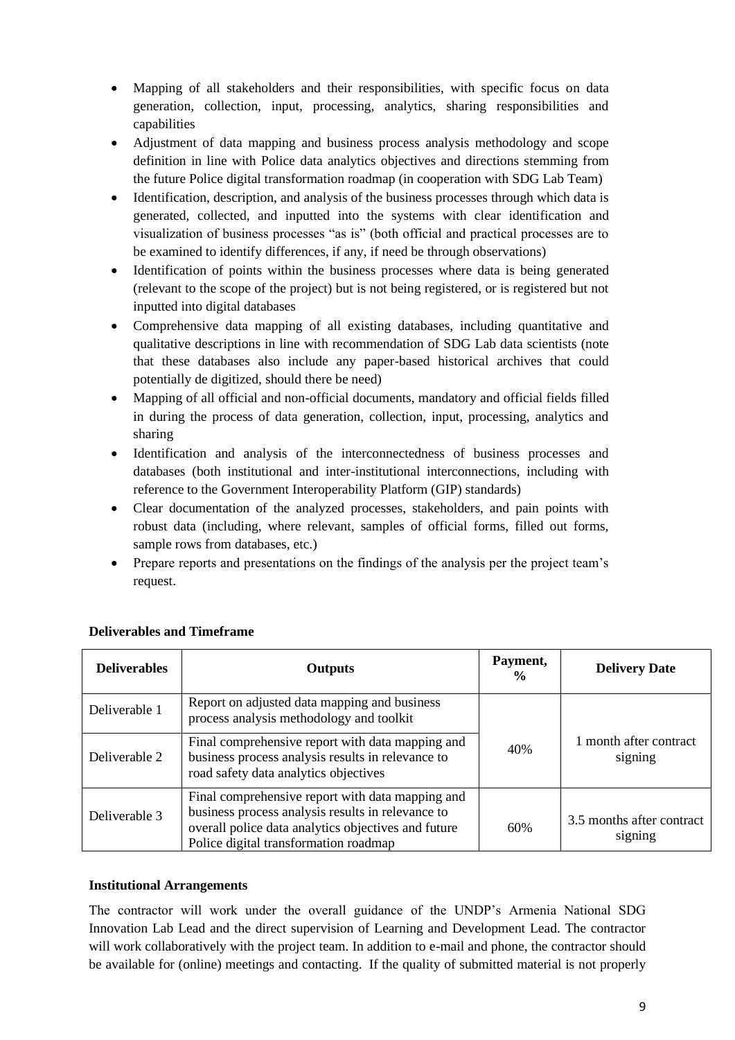- Mapping of all stakeholders and their responsibilities, with specific focus on data generation, collection, input, processing, analytics, sharing responsibilities and capabilities
- Adjustment of data mapping and business process analysis methodology and scope definition in line with Police data analytics objectives and directions stemming from the future Police digital transformation roadmap (in cooperation with SDG Lab Team)
- Identification, description, and analysis of the business processes through which data is generated, collected, and inputted into the systems with clear identification and visualization of business processes "as is" (both official and practical processes are to be examined to identify differences, if any, if need be through observations)
- Identification of points within the business processes where data is being generated (relevant to the scope of the project) but is not being registered, or is registered but not inputted into digital databases
- Comprehensive data mapping of all existing databases, including quantitative and qualitative descriptions in line with recommendation of SDG Lab data scientists (note that these databases also include any paper-based historical archives that could potentially de digitized, should there be need)
- Mapping of all official and non-official documents, mandatory and official fields filled in during the process of data generation, collection, input, processing, analytics and sharing
- Identification and analysis of the interconnectedness of business processes and databases (both institutional and inter-institutional interconnections, including with reference to the Government Interoperability Platform (GIP) standards)
- Clear documentation of the analyzed processes, stakeholders, and pain points with robust data (including, where relevant, samples of official forms, filled out forms, sample rows from databases, etc.)
- Prepare reports and presentations on the findings of the analysis per the project team's request.

| <b>Deliverables</b> | <b>Outputs</b>                                                                                                                                                                                        | Payment,<br>$\frac{6}{9}$ | <b>Delivery Date</b>                 |
|---------------------|-------------------------------------------------------------------------------------------------------------------------------------------------------------------------------------------------------|---------------------------|--------------------------------------|
| Deliverable 1       | Report on adjusted data mapping and business<br>process analysis methodology and toolkit                                                                                                              |                           |                                      |
| Deliverable 2       | Final comprehensive report with data mapping and<br>business process analysis results in relevance to<br>road safety data analytics objectives                                                        | 40%                       | 1 month after contract<br>signing    |
| Deliverable 3       | Final comprehensive report with data mapping and<br>business process analysis results in relevance to<br>overall police data analytics objectives and future<br>Police digital transformation roadmap | 60%                       | 3.5 months after contract<br>signing |

### **Deliverables and Timeframe**

#### **Institutional Arrangements**

The contractor will work under the overall guidance of the UNDP's Armenia National SDG Innovation Lab Lead and the direct supervision of Learning and Development Lead. The contractor will work collaboratively with the project team. In addition to e-mail and phone, the contractor should be available for (online) meetings and contacting. If the quality of submitted material is not properly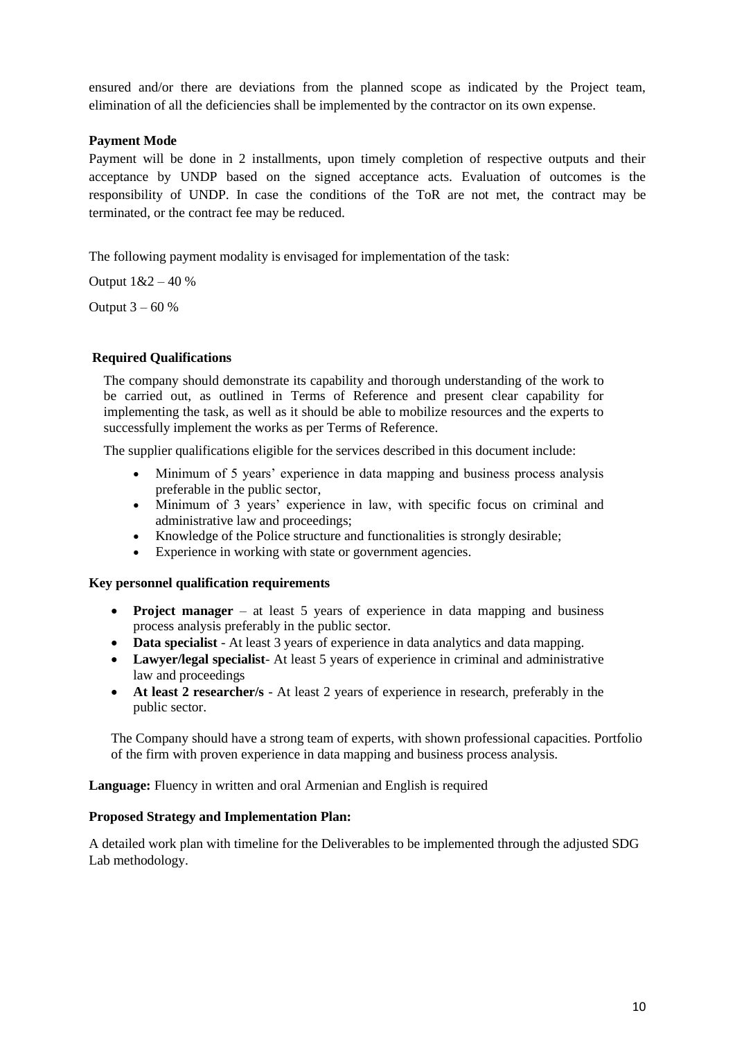ensured and/or there are deviations from the planned scope as indicated by the Project team, elimination of all the deficiencies shall be implemented by the contractor on its own expense.

#### **Payment Mode**

Payment will be done in 2 installments, upon timely completion of respective outputs and their acceptance by UNDP based on the signed acceptance acts. Evaluation of outcomes is the responsibility of UNDP. In case the conditions of the ToR are not met, the contract may be terminated, or the contract fee may be reduced.

The following payment modality is envisaged for implementation of the task:

Output 1&2 – 40 %

Output  $3 - 60%$ 

#### **Required Qualifications**

The company should demonstrate its capability and thorough understanding of the work to be carried out, as outlined in Terms of Reference and present clear capability for implementing the task, as well as it should be able to mobilize resources and the experts to successfully implement the works as per Terms of Reference.

The supplier qualifications eligible for the services described in this document include:

- Minimum of 5 years' experience in data mapping and business process analysis preferable in the public sector,
- Minimum of 3 years' experience in law, with specific focus on criminal and administrative law and proceedings;
- Knowledge of the Police structure and functionalities is strongly desirable;
- Experience in working with state or government agencies.

#### **Key personnel qualification requirements**

- **Project manager** at least 5 years of experience in data mapping and business process analysis preferably in the public sector.
- **Data specialist** At least 3 years of experience in data analytics and data mapping.
- **Lawyer/legal specialist** At least 5 years of experience in criminal and administrative law and proceedings
- **At least 2 researcher/s**  At least 2 years of experience in research, preferably in the public sector.

The Company should have a strong team of experts, with shown professional capacities. Portfolio of the firm with proven experience in data mapping and business process analysis.

**Language:** Fluency in written and oral Armenian and English is required

#### **Proposed Strategy and Implementation Plan:**

A detailed work plan with timeline for the Deliverables to be implemented through the adjusted SDG Lab methodology.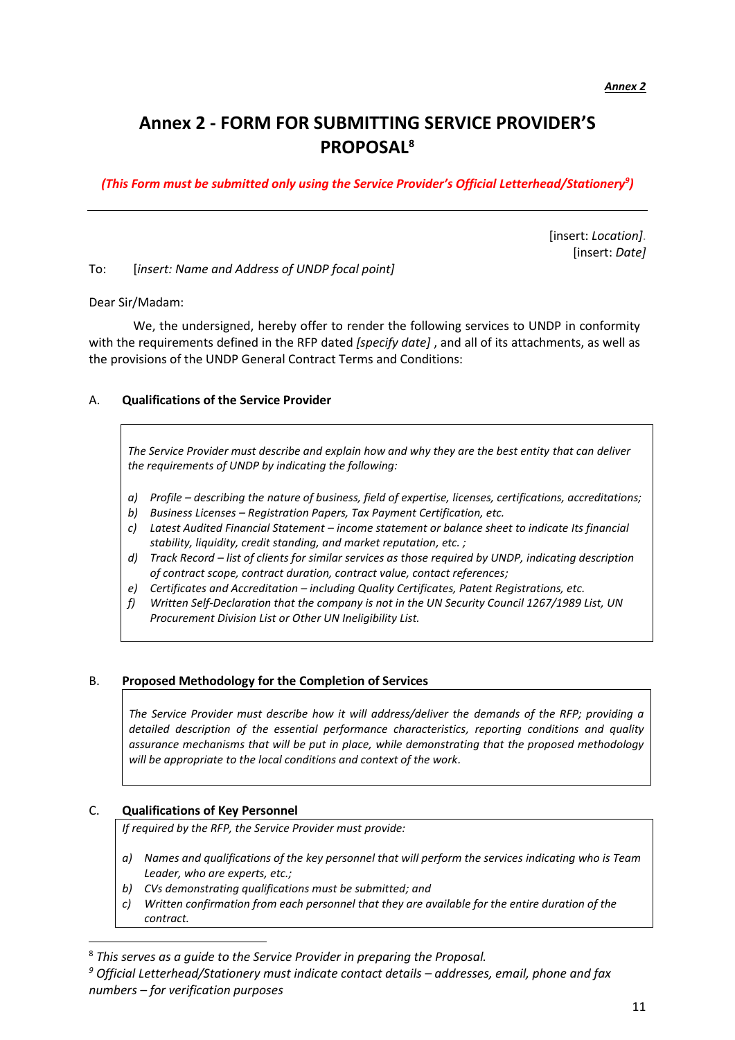## **Annex 2 - FORM FOR SUBMITTING SERVICE PROVIDER'S PROPOSAL<sup>8</sup>**

*(This Form must be submitted only using the Service Provider's Official Letterhead/Stationery<sup>9</sup> )*

[insert: *Location]*. [insert: *Date]*

To: [*insert: Name and Address of UNDP focal point]*

Dear Sir/Madam:

We, the undersigned, hereby offer to render the following services to UNDP in conformity with the requirements defined in the RFP dated *[specify date]* , and all of its attachments, as well as the provisions of the UNDP General Contract Terms and Conditions:

#### A. **Qualifications of the Service Provider**

*The Service Provider must describe and explain how and why they are the best entity that can deliver the requirements of UNDP by indicating the following:*

- *a) Profile – describing the nature of business, field of expertise, licenses, certifications, accreditations;*
- *b) Business Licenses – Registration Papers, Tax Payment Certification, etc.*
- *c) Latest Audited Financial Statement – income statement or balance sheet to indicate Its financial stability, liquidity, credit standing, and market reputation, etc. ;*
- *d) Track Record – list of clients for similar services as those required by UNDP, indicating description of contract scope, contract duration, contract value, contact references;*
- *e) Certificates and Accreditation – including Quality Certificates, Patent Registrations, etc.*
- *f) Written Self-Declaration that the company is not in the UN Security Council 1267/1989 List, UN Procurement Division List or Other UN Ineligibility List.*

#### B. **Proposed Methodology for the Completion of Services**

*The Service Provider must describe how it will address/deliver the demands of the RFP; providing a detailed description of the essential performance characteristics, reporting conditions and quality assurance mechanisms that will be put in place, while demonstrating that the proposed methodology will be appropriate to the local conditions and context of the work.*

#### C. **Qualifications of Key Personnel**

*If required by the RFP, the Service Provider must provide:*

- *a) Names and qualifications of the key personnel that will perform the services indicating who is Team Leader, who are experts, etc.;*
- *b) CVs demonstrating qualifications must be submitted; and*
- *c) Written confirmation from each personnel that they are available for the entire duration of the contract.*

<sup>8</sup> *This serves as a guide to the Service Provider in preparing the Proposal.* 

*<sup>9</sup> Official Letterhead/Stationery must indicate contact details – addresses, email, phone and fax numbers – for verification purposes*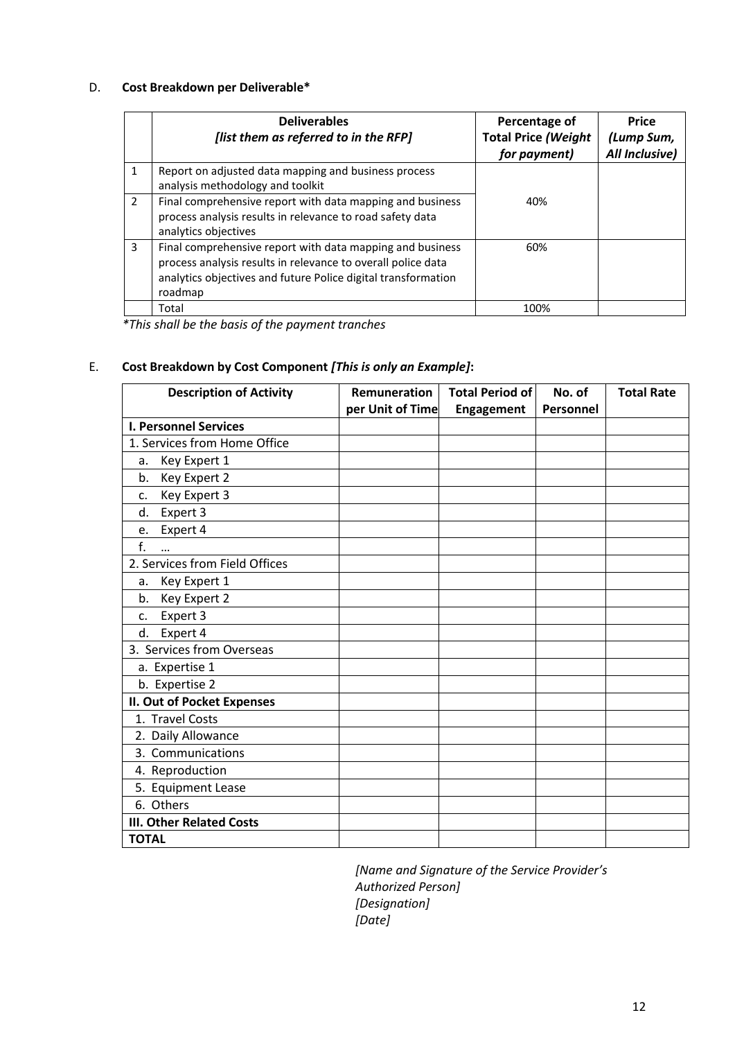#### D. **Cost Breakdown per Deliverable\***

|                | <b>Deliverables</b><br>[list them as referred to in the RFP]                                                                                                                                          | Percentage of<br><b>Total Price (Weight</b><br>for payment) | <b>Price</b><br>(Lump Sum,<br>All Inclusive) |
|----------------|-------------------------------------------------------------------------------------------------------------------------------------------------------------------------------------------------------|-------------------------------------------------------------|----------------------------------------------|
| 1              | Report on adjusted data mapping and business process<br>analysis methodology and toolkit                                                                                                              |                                                             |                                              |
| $\overline{2}$ | Final comprehensive report with data mapping and business<br>process analysis results in relevance to road safety data<br>analytics objectives                                                        | 40%                                                         |                                              |
| 3              | Final comprehensive report with data mapping and business<br>process analysis results in relevance to overall police data<br>analytics objectives and future Police digital transformation<br>roadmap | 60%                                                         |                                              |
|                | Total                                                                                                                                                                                                 | 100%                                                        |                                              |

*\*This shall be the basis of the payment tranches*

### E. **Cost Breakdown by Cost Component** *[This is only an Example]***:**

| <b>Description of Activity</b>  | Remuneration     | <b>Total Period of</b> | No. of    | <b>Total Rate</b> |
|---------------------------------|------------------|------------------------|-----------|-------------------|
|                                 | per Unit of Time | <b>Engagement</b>      | Personnel |                   |
| <b>I. Personnel Services</b>    |                  |                        |           |                   |
| 1. Services from Home Office    |                  |                        |           |                   |
| Key Expert 1<br>a.              |                  |                        |           |                   |
| Key Expert 2<br>b.              |                  |                        |           |                   |
| Key Expert 3<br>c.              |                  |                        |           |                   |
| Expert 3<br>d.                  |                  |                        |           |                   |
| Expert 4<br>e.                  |                  |                        |           |                   |
| f.<br>                          |                  |                        |           |                   |
| 2. Services from Field Offices  |                  |                        |           |                   |
| Key Expert 1<br>a.              |                  |                        |           |                   |
| Key Expert 2<br>b.              |                  |                        |           |                   |
| Expert 3<br>c.                  |                  |                        |           |                   |
| Expert 4<br>d.                  |                  |                        |           |                   |
| 3. Services from Overseas       |                  |                        |           |                   |
| a. Expertise 1                  |                  |                        |           |                   |
| b. Expertise 2                  |                  |                        |           |                   |
| II. Out of Pocket Expenses      |                  |                        |           |                   |
| 1. Travel Costs                 |                  |                        |           |                   |
| 2. Daily Allowance              |                  |                        |           |                   |
| 3. Communications               |                  |                        |           |                   |
| 4. Reproduction                 |                  |                        |           |                   |
| 5. Equipment Lease              |                  |                        |           |                   |
| 6. Others                       |                  |                        |           |                   |
| <b>III. Other Related Costs</b> |                  |                        |           |                   |
| <b>TOTAL</b>                    |                  |                        |           |                   |

*[Name and Signature of the Service Provider's Authorized Person] [Designation] [Date]*